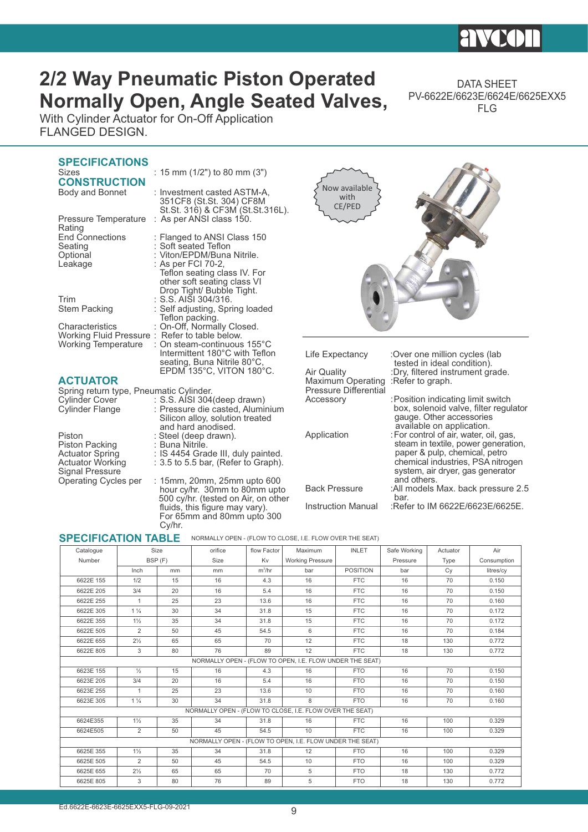# **2/2 Way Pneumatic Piston Operated Normally Open, Angle Seated Valves,**

DATA SHEET PV-6622E/6623E/6624E/6625EXX5 FLG

With Cylinder Actuator for On-Off Application FLANGED DESIGN.

### **SPECIFICATIONS**<br>Sizes : 15 mm  $(1/2")$  to 80 mm  $(3")$ **CONSTRUCTION**<br>Body and Bonnet : Investment casted ASTM-A, 351CF8 (St.St. 304) CF8M St.St. 316) & CF3M (St.St.316L). Pressure Temperature : As per ANSI class 150. Rating<br>End Connections End Connections : Flanged to ANSI Class 150<br>
Seating : Soft seated Teflon Seating : Soft seated Teflon<br>
Optional : Viton/EPDM/Buna Optional : Viton/EPDM/Buna Nitrile.<br>
Leakage : As per FCI 70-2, As per FCI 70-2, Teflon seating class IV. For other soft seating class VI Drop Tight/ Bubble Tight. Trim : S.S. AISI 304/316.<br>Stem Packing : Self adjusting, Spr Self adjusting, Spring loaded Teflon packing. Characteristics : On-Off, Normally Closed. Working Fluid Pressure :<br>Working Temperature : On steam-continuous 155°C Intermittent 180°C with Teflon seating, Buna Nitrile 80°C EPDM 135°C, VITON 180°C. **ACTUATOR** Spring return type, Pneumatic Cylinder.<br>Cylinder Cover : S.S. AISI 304 Cylinder Cover : S.S. AISI 304(deep drawn)<br>Cylinder Flange : Pressure die casted, Alumi Pressure die casted, Aluminium Silicon alloy, solution treated and hard anodised. Piston : Steel (deep drawn).<br>Piston Packing : Buna Nitrile. Piston Packing<br>Actuator Spring Actuator Spring : IS 4454 Grade III, duly painted.<br>Actuator Working : 3.5 to 5.5 bar, (Refer to Graph).  $3.5$  to  $5.5$  bar, (Refer to Graph). Signal Pressure<br>Operating Cycles per : 15mm, 20mm, 25mm upto 600 Life Expectancy : Over one million cycles (lab tested in ideal condition).<br>Air Quality ... Dry, filtered instrument gra :Dry, filtered instrument grade.<br>:Refer to graph. Maximum Operating Pressure Differential<br>Accessory : Position indicating limit switch box, solenoid valve, filter regulator gauge. Other accessories available on application.<br>For control of air, water, c : For control of air, water, c For control of air, water, oil, gas, steam in textile, power generation, paper & pulp, chemical, petro chemical industries, PSA nitrogen system, air dryer, gas generator and others. Back Pressure :All models Max. back pressure 2.5 Now available with CE/PED

 hour cy/hr. 30mm to 80mm upto 500 cy/hr. (tested on Air, on other fluids, this figure may vary). For 65mm and 80mm upto 300 Cy/hr.

 NORMALLY OPEN - (FLOW TO CLOSE, I.E. FLOW OVER THE SEAT) **SPECIFICATION TABLE**

| <b>ULLUILIUN IADLL</b> |                | <b>INOINMALLE OF LINE (FLOW TO OLOGE, I.L. FLOW OVER THE SEAT)</b> |                                                          |             |                         |                 |              |          |             |  |  |  |
|------------------------|----------------|--------------------------------------------------------------------|----------------------------------------------------------|-------------|-------------------------|-----------------|--------------|----------|-------------|--|--|--|
| Catalogue              | Size           |                                                                    | orifice                                                  | flow Factor | Maximum                 | <b>INLET</b>    | Safe Working | Actuator |             |  |  |  |
| Number                 | BSP (F)        |                                                                    | <b>Size</b>                                              | Kv          | <b>Working Pressure</b> |                 | Pressure     | Type     | Consumption |  |  |  |
|                        | Inch<br>mm     |                                                                    | mm                                                       | $m^3/hr$    |                         | <b>POSITION</b> | bar          | Cy       | litres/cy   |  |  |  |
| 6622E 155              | 1/2            | 15                                                                 | 16                                                       | 4.3         | 16                      | <b>FTC</b>      | 16           | 70       | 0.150       |  |  |  |
| 6622E 205              | 3/4            | 20                                                                 | 16                                                       | 5.4         | 16                      | <b>FTC</b>      | 16           | 70       | 0.150       |  |  |  |
| 6622E 255              | 1              | 25                                                                 | 23                                                       | 13.6        | 16                      | <b>FTC</b>      | 16           | 70       | 0.160       |  |  |  |
| 6622E 305              | $1\frac{1}{4}$ | 30                                                                 | 34                                                       | 31.8        | 15                      | <b>FTC</b>      | 16           | 70       | 0.172       |  |  |  |
| 6622E 355              | $1\frac{1}{2}$ | 35                                                                 | 34                                                       | 31.8        | 15                      | <b>FTC</b>      | 16           | 70       | 0.172       |  |  |  |
| 6622E 505              | 2              | 50                                                                 | 45                                                       | 54.5        | 6                       | <b>FTC</b>      | 16           | 70       | 0.184       |  |  |  |
| 6622E 655              | $2\frac{1}{2}$ | 65                                                                 | 65                                                       | 70          | 12                      | <b>FTC</b>      | 18           | 130      | 0.772       |  |  |  |
| 6622E 805              | 3              | 80                                                                 | 76                                                       | 89          | 12                      | <b>FTC</b>      | 18           | 130      | 0.772       |  |  |  |
|                        |                |                                                                    | NORMALLY OPEN - (FLOW TO OPEN, I.E. FLOW UNDER THE SEAT) |             |                         |                 |              |          |             |  |  |  |
| 6623E 155              | $\frac{1}{2}$  | 15                                                                 | 16                                                       | 4.3         | 16<br><b>FTO</b>        |                 | 16           | 70       | 0.150       |  |  |  |
| 6623E 205              | 3/4            | 20                                                                 | 16                                                       | 5.4         | 16                      | <b>FTO</b>      | 16           | 70       | 0.150       |  |  |  |
| 6623E 255              | 1              | 25                                                                 | 23                                                       | 13.6        | 10                      | <b>FTO</b>      | 16           | 70       | 0.160       |  |  |  |
| 6623E 305              | $1\frac{1}{4}$ | 30                                                                 | 34                                                       | 31.8        | 8                       | <b>FTO</b>      | 16           | 70       | 0.160       |  |  |  |
|                        |                |                                                                    | NORMALLY OPEN - (FLOW TO CLOSE, I.E. FLOW OVER THE SEAT) |             |                         |                 |              |          |             |  |  |  |
| 6624E355               | $1\frac{1}{2}$ | 35                                                                 | 34                                                       | 31.8<br>16  |                         | <b>FTC</b>      | 16           | 100      | 0.329       |  |  |  |
| 6624E505               | 2              | 50                                                                 | 45                                                       | 54.5        | 10                      | <b>FTC</b>      | 16           | 100      | 0.329       |  |  |  |
|                        |                |                                                                    | NORMALLY OPEN - (FLOW TO OPEN, I.E. FLOW UNDER THE SEAT) |             |                         |                 |              |          |             |  |  |  |
| 6625E 355              | $1\frac{1}{2}$ | 35                                                                 | 34                                                       | 31.8        | 12                      | <b>FTO</b>      | 16           | 100      | 0.329       |  |  |  |
| 6625E 505              | 2              | 50                                                                 | 45                                                       | 54.5        | 10                      | <b>FTO</b>      | 16           | 100      | 0.329       |  |  |  |
| 6625E 655              | $2\frac{1}{2}$ | 65                                                                 | 65                                                       | 70          | 5                       | <b>FTO</b>      | 18           | 130      | 0.772       |  |  |  |
| 6625E 805              | 3              | 80                                                                 | 76                                                       | 89          | 5                       | <b>FTO</b>      | 18           | 130      | 0.772       |  |  |  |

bar.<br>Refe: Instruction Manual

:Refer to IM 6622E/6623E/6625E.